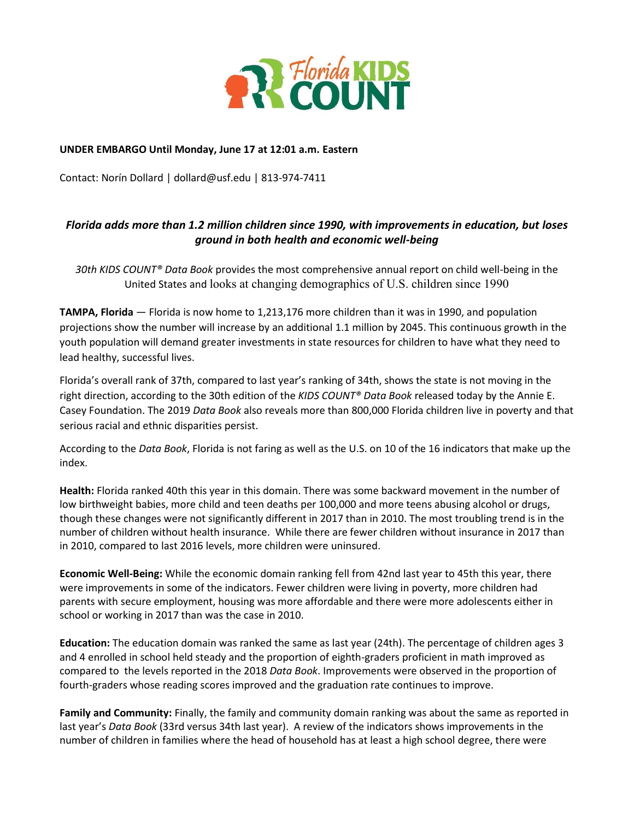

#### **UNDER EMBARGO Until Monday, June 17 at 12:01 a.m. Eastern**

Contact: Norín Dollard | dollard@usf.edu | 813-974-7411

# *Florida adds more than 1.2 million children since 1990, with improvements in education, but loses ground in both health and economic well-being*

*30th KIDS COUNT® Data Book* provides the most comprehensive annual report on child well-being in the United States and looks at changing demographics of U.S. children since 1990

**TAMPA, Florida** — Florida is now home to 1,213,176 more children than it was in 1990, and population projections show the number will increase by an additional 1.1 million by 2045. This continuous growth in the youth population will demand greater investments in state resources for children to have what they need to lead healthy, successful lives.

Florida's overall rank of 37th, compared to last year's ranking of 34th, shows the state is not moving in the right direction, according to the 30th edition of the *KIDS COUNT® Data Book* released today by the Annie E. Casey Foundation. The 2019 *Data Book* also reveals more than 800,000 Florida children live in poverty and that serious racial and ethnic disparities persist.

According to the *Data Book*, Florida is not faring as well as the U.S. on 10 of the 16 indicators that make up the index.

**Health:** Florida ranked 40th this year in this domain. There was some backward movement in the number of low birthweight babies, more child and teen deaths per 100,000 and more teens abusing alcohol or drugs, though these changes were not significantly different in 2017 than in 2010. The most troubling trend is in the number of children without health insurance. While there are fewer children without insurance in 2017 than in 2010, compared to last 2016 levels, more children were uninsured.

**Economic Well-Being:** While the economic domain ranking fell from 42nd last year to 45th this year, there were improvements in some of the indicators. Fewer children were living in poverty, more children had parents with secure employment, housing was more affordable and there were more adolescents either in school or working in 2017 than was the case in 2010.

**Education:** The education domain was ranked the same as last year (24th). The percentage of children ages 3 and 4 enrolled in school held steady and the proportion of eighth-graders proficient in math improved as compared to the levels reported in the 2018 *Data Book*. Improvements were observed in the proportion of fourth-graders whose reading scores improved and the graduation rate continues to improve.

**Family and Community:** Finally, the family and community domain ranking was about the same as reported in last year's *Data Book* (33rd versus 34th last year). A review of the indicators shows improvements in the number of children in families where the head of household has at least a high school degree, there were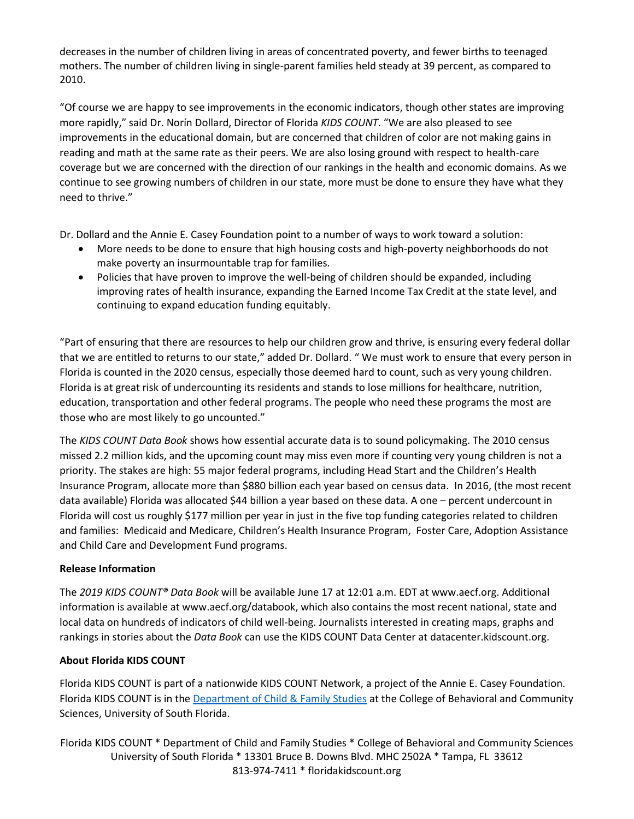decreases in the number of children living in areas of concentrated poverty, and fewer births to teenaged mothers. The number of children living in single-parent families held steady at 39 percent, as compared to 2010.

"Of course we are happy to see improvements in the economic indicators, though other states are improving more rapidly," said Dr. Norín Dollard, Director of Florida *KIDS COUNT*. "We are also pleased to see improvements in the educational domain, but are concerned that children of color are not making gains in reading and math at the same rate as their peers. We are also losing ground with respect to health-care coverage but we are concerned with the direction of our rankings in the health and economic domains. As we continue to see growing numbers of children in our state, more must be done to ensure they have what they need to thrive."

Dr. Dollard and the Annie E. Casey Foundation point to a number of ways to work toward a solution:

- More needs to be done to ensure that high housing costs and high-poverty neighborhoods do not make poverty an insurmountable trap for families.
- Policies that have proven to improve the well-being of children should be expanded, including improving rates of health insurance, expanding the Earned Income Tax Credit at the state level, and continuing to expand education funding equitably.

"Part of ensuring that there are resources to help our children grow and thrive, is ensuring every federal dollar that we are entitled to returns to our state," added Dr. Dollard. " We must work to ensure that every person in Florida is counted in the 2020 census, especially those deemed hard to count, such as very young children. Florida is at great risk of undercounting its residents and stands to lose millions for healthcare, nutrition, education, transportation and other federal programs. The people who need these programs the most are those who are most likely to go uncounted."

The *KIDS COUNT Data Book* shows how essential accurate data is to sound policymaking. The 2010 census missed 2.2 million kids, and the upcoming count may miss even more if counting very young children is not a priority. The stakes are high: 55 major federal programs, including Head Start and the Children's Health Insurance Program, allocate more than \$880 billion each year based on census data. In 2016, (the most recent data available) Florida was allocated \$44 billion a year based on these data. A one – percent undercount in Florida will cost us roughly \$177 million per year in just in the five top funding categories related to children and families: Medicaid and Medicare, Children's Health Insurance Program, Foster Care, Adoption Assistance and Child Care and Development Fund programs.

## **Release Information**

The *2019 KIDS COUNT® Data Book* will be available June 17 at 12:01 a.m. EDT at www.aecf.org. Additional information is available at www.aecf.org/databook, which also contains the most recent national, state and local data on hundreds of indicators of child well-being. Journalists interested in creating maps, graphs and rankings in stories about the *Data Book* can use the KIDS COUNT Data Center at datacenter.kidscount.org.

### **About Florida KIDS COUNT**

Florida KIDS COUNT is part of a nationwide KIDS COUNT Network, a project of the Annie E. Casey Foundation. Florida KIDS COUNT is in the [Department of Child & Family Studies](http://cfs.cbcs.usf.edu/) at the College of Behavioral and Community Sciences, University of South Florida.

Florida KIDS COUNT \* Department of Child and Family Studies \* College of Behavioral and Community Sciences University of South Florida \* 13301 Bruce B. Downs Blvd. MHC 2502A \* Tampa, FL 33612 813-974-7411 \* floridakidscount.org